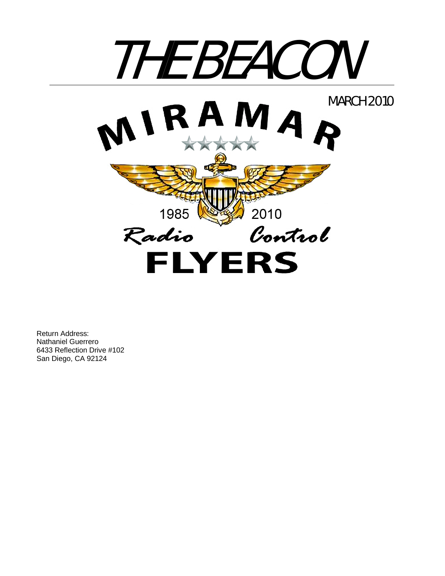

Return Address: Nathaniel Guerrero 6433 Reflection Drive #102 San Diego, CA 92124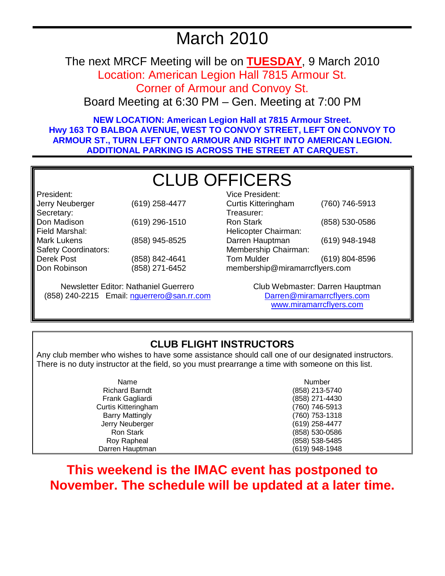# March 2010

The next MRCF Meeting will be on **TUESDAY**, 9 March 2010

Location: American Legion Hall 7815 Armour St.

Corner of Armour and Convoy St.

Board Meeting at 6:30 PM – Gen. Meeting at 7:00 PM

**NEW LOCATION: American Legion Hall at 7815 Armour Street. Hwy 163 TO BALBOA AVENUE, WEST TO CONVOY STREET, LEFT ON CONVOY TO ARMOUR ST., TURN LEFT ONTO ARMOUR AND RIGHT INTO AMERICAN LEGION. ADDITIONAL PARKING IS ACROSS THE STREET AT CARQUEST.** 

# CLUB OFFICERS

President: Jerry Neuberger (619) 258-4477 Secretary: Don Madison (619) 296-1510 Field Marshal: Mark Lukens (858) 945-8525 Safety Coordinators: Derek Post Don Robinson (858) 842-4641 (858) 271-6452

Newsletter Editor: Nathaniel Guerrero (858) 240-2215 Email: nguerrero@san.rr.com

| Vice President:                |                |  |
|--------------------------------|----------------|--|
| <b>Curtis Kitteringham</b>     | (760) 746-5913 |  |
| Treasurer:                     |                |  |
| <b>Ron Stark</b>               | (858) 530-0586 |  |
| Helicopter Chairman:           |                |  |
| Darren Hauptman                | (619) 948-1948 |  |
| Membership Chairman:           |                |  |
| <b>Tom Mulder</b>              | (619) 804-8596 |  |
| membership@miramarrcflyers.com |                |  |
|                                |                |  |

Club Webmaster: Darren Hauptman Darren@miramarrcflyers.com www.miramarrcflyers.com

## **CLUB FLIGHT INSTRUCTORS**

Any club member who wishes to have some assistance should call one of our designated instructors. There is no duty instructor at the field, so you must prearrange a time with someone on this list.

| Name                   | Number         |
|------------------------|----------------|
| <b>Richard Barndt</b>  | (858) 213-5740 |
| Frank Gagliardi        | (858) 271-4430 |
| Curtis Kitteringham    | (760) 746-5913 |
| <b>Barry Mattingly</b> | (760) 753-1318 |
| Jerry Neuberger        | (619) 258-4477 |
| Ron Stark              | (858) 530-0586 |
| Roy Rapheal            | (858) 538-5485 |
| Darren Hauptman        | (619) 948-1948 |

## **This weekend is the IMAC event has postponed to November. The schedule will be updated at a later time.**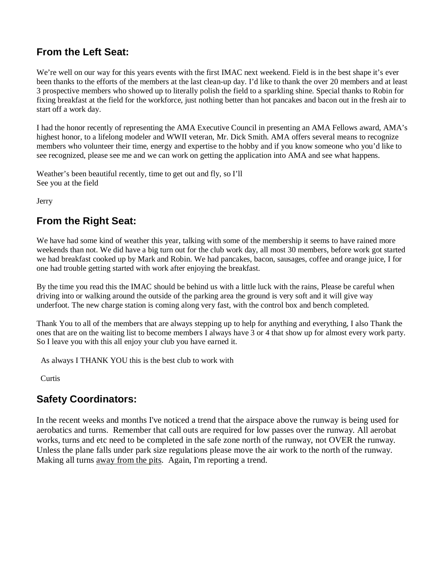## **From the Left Seat:**

We're well on our way for this years events with the first IMAC next weekend. Field is in the best shape it's ever been thanks to the efforts of the members at the last clean-up day. I'd like to thank the over 20 members and at least 3 prospective members who showed up to literally polish the field to a sparkling shine. Special thanks to Robin for fixing breakfast at the field for the workforce, just nothing better than hot pancakes and bacon out in the fresh air to start off a work day.

I had the honor recently of representing the AMA Executive Council in presenting an AMA Fellows award, AMA's highest honor, to a lifelong modeler and WWII veteran, Mr. Dick Smith. AMA offers several means to recognize members who volunteer their time, energy and expertise to the hobby and if you know someone who you'd like to see recognized, please see me and we can work on getting the application into AMA and see what happens.

Weather's been beautiful recently, time to get out and fly, so I'll See you at the field

**J**erry

## **From the Right Seat:**

We have had some kind of weather this year, talking with some of the membership it seems to have rained more weekends than not. We did have a big turn out for the club work day, all most 30 members, before work got started we had breakfast cooked up by Mark and Robin. We had pancakes, bacon, sausages, coffee and orange juice, I for one had trouble getting started with work after enjoying the breakfast.

By the time you read this the IMAC should be behind us with a little luck with the rains, Please be careful when driving into or walking around the outside of the parking area the ground is very soft and it will give way underfoot. The new charge station is coming along very fast, with the control box and bench completed.

Thank You to all of the members that are always stepping up to help for anything and everything, I also Thank the ones that are on the waiting list to become members I always have 3 or 4 that show up for almost every work party. So I leave you with this all enjoy your club you have earned it.

As always I THANK YOU this is the best club to work with

**Curtis** 

## **Safety Coordinators:**

In the recent weeks and months I've noticed a trend that the airspace above the runway is being used for aerobatics and turns. Remember that call outs are required for low passes over the runway. All aerobat works, turns and etc need to be completed in the safe zone north of the runway, not OVER the runway. Unless the plane falls under park size regulations please move the air work to the north of the runway. Making all turns away from the pits. Again, I'm reporting a trend.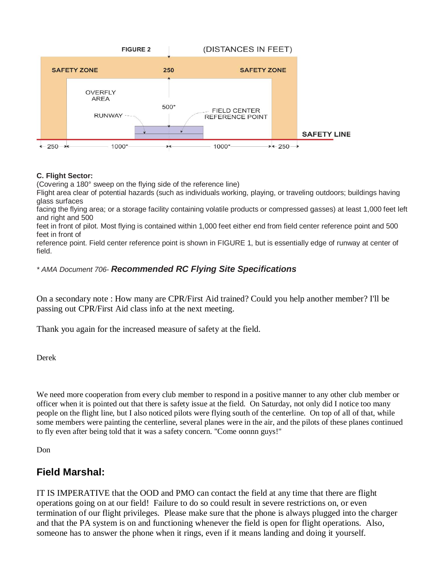

#### **C. Flight Sector:**

(Covering a 180° sweep on the flying side of the reference line)

Flight area clear of potential hazards (such as individuals working, playing, or traveling outdoors; buildings having glass surfaces

facing the flying area; or a storage facility containing volatile products or compressed gasses) at least 1,000 feet left and right and 500

feet in front of pilot. Most flying is contained within 1,000 feet either end from field center reference point and 500 feet in front of

reference point. Field center reference point is shown in FIGURE 1, but is essentially edge of runway at center of field.

#### *\* AMA Document 706- Recommended RC Flying Site Specifications*

On a secondary note : How many are CPR/First Aid trained? Could you help another member? I'll be passing out CPR/First Aid class info at the next meeting.

Thank you again for the increased measure of safety at the field.

Derek

We need more cooperation from every club member to respond in a positive manner to any other club member or officer when it is pointed out that there is safety issue at the field. On Saturday, not only did I notice too many people on the flight line, but I also noticed pilots were flying south of the centerline. On top of all of that, while some members were painting the centerline, several planes were in the air, and the pilots of these planes continued to fly even after being told that it was a safety concern. "Come oonnn guys!"

Don

## **Field Marshal:**

IT IS IMPERATIVE that the OOD and PMO can contact the field at any time that there are flight operations going on at our field! Failure to do so could result in severe restrictions on, or even termination of our flight privileges. Please make sure that the phone is always plugged into the charger and that the PA system is on and functioning whenever the field is open for flight operations. Also, someone has to answer the phone when it rings, even if it means landing and doing it yourself.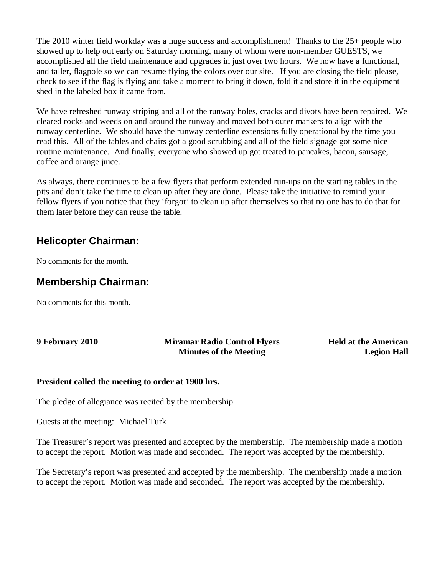The 2010 winter field workday was a huge success and accomplishment! Thanks to the 25+ people who showed up to help out early on Saturday morning, many of whom were non-member GUESTS, we accomplished all the field maintenance and upgrades in just over two hours. We now have a functional, and taller, flagpole so we can resume flying the colors over our site. If you are closing the field please, check to see if the flag is flying and take a moment to bring it down, fold it and store it in the equipment shed in the labeled box it came from.

We have refreshed runway striping and all of the runway holes, cracks and divots have been repaired. We cleared rocks and weeds on and around the runway and moved both outer markers to align with the runway centerline. We should have the runway centerline extensions fully operational by the time you read this. All of the tables and chairs got a good scrubbing and all of the field signage got some nice routine maintenance. And finally, everyone who showed up got treated to pancakes, bacon, sausage, coffee and orange juice.

As always, there continues to be a few flyers that perform extended run-ups on the starting tables in the pits and don't take the time to clean up after they are done. Please take the initiative to remind your fellow flyers if you notice that they 'forgot' to clean up after themselves so that no one has to do that for them later before they can reuse the table.

## **Helicopter Chairman:**

No comments for the month.

## **Membership Chairman:**

No comments for this month.

| 9 February 2010 |  |
|-----------------|--|
|-----------------|--|

#### **Miramar Radio Control Flyers Minutes of the Meeting**

**Held at the American Legion Hall**

#### **President called the meeting to order at 1900 hrs.**

The pledge of allegiance was recited by the membership.

Guests at the meeting: Michael Turk

The Treasurer's report was presented and accepted by the membership. The membership made a motion to accept the report. Motion was made and seconded. The report was accepted by the membership.

The Secretary's report was presented and accepted by the membership. The membership made a motion to accept the report. Motion was made and seconded. The report was accepted by the membership.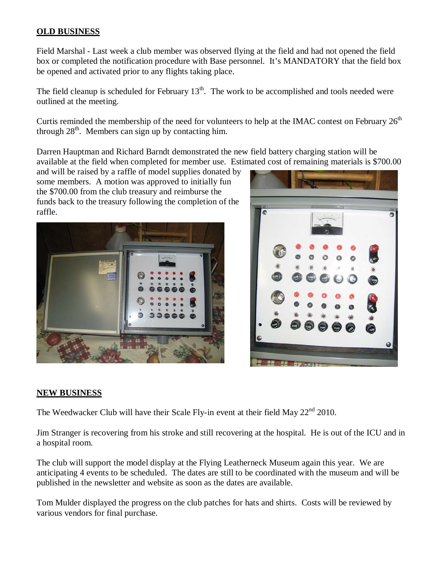### **OLD BUSINESS**

Field Marshal - Last week a club member was observed flying at the field and had not opened the field box or completed the notification procedure with Base personnel. It's MANDATORY that the field box be opened and activated prior to any flights taking place.

The field cleanup is scheduled for February  $13<sup>th</sup>$ . The work to be accomplished and tools needed were outlined at the meeting.

Curtis reminded the membership of the need for volunteers to help at the IMAC contest on February  $26<sup>th</sup>$ through  $28<sup>th</sup>$ . Members can sign up by contacting him.

Darren Hauptman and Richard Barndt demonstrated the new field battery charging station will be available at the field when completed for member use. Estimated cost of remaining materials is \$700.00

and will be raised by a raffle of model supplies donated by some members. A motion was approved to initially fun the \$700.00 from the club treasury and reimburse the funds back to the treasury following the completion of the raffle.





#### **NEW BUSINESS**

The Weedwacker Club will have their Scale Fly-in event at their field May 22<sup>nd</sup> 2010.

Jim Stranger is recovering from his stroke and still recovering at the hospital. He is out of the ICU and in a hospital room.

The club will support the model display at the Flying Leatherneck Museum again this year. We are anticipating 4 events to be scheduled. The dates are still to be coordinated with the museum and will be published in the newsletter and website as soon as the dates are available.

Tom Mulder displayed the progress on the club patches for hats and shirts. Costs will be reviewed by various vendors for final purchase.